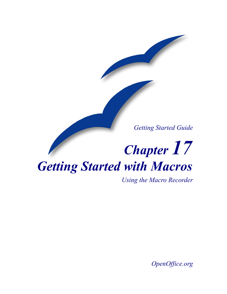*Getting Started Guide*

# *Chapter 17 Getting Started with Macros*

*Using the Macro Recorder*

*OpenOffice.org*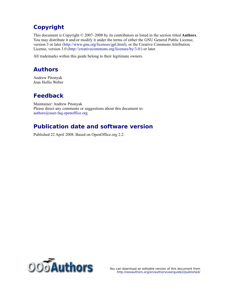## <span id="page-1-3"></span>**Copyright**

This document is Copyright © 2007–2008 by its contributors as listed in the section titled **Authors**. You may distribute it and/or modify it under the terms of either the GNU General Public License, version 3 or later [\(http://www.gnu.org/licenses/gpl.html\)](http://www.gnu.org/licenses/gpl.html), or the Creative Commons Attribution License, version 3.0 [\(http://creativecommons.org/licenses/by/3.0/\)](http://creativecommons.org/licenses/by/3.0/) or later.

All trademarks within this guide belong to their legitimate owners.

#### <span id="page-1-2"></span>**Authors**

Andrew Pitonyak Jean Hollis Weber

# <span id="page-1-1"></span>**Feedback**

Maintainer: Andrew Pitonyak Please direct any comments or suggestions about this document to: [authors@user-faq.openoffice.org](mailto:authors@user-faq.openoffice.org)

#### <span id="page-1-0"></span>**Publication date and software version**

Published 22 April 2008. Based on OpenOffice.org 2.2.



You can download an editable version of this document from <http://oooauthors.org/en/authors/userguide2/published/>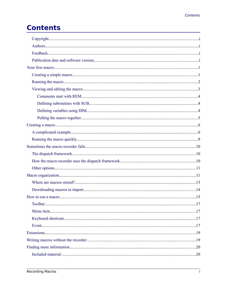# **Contents**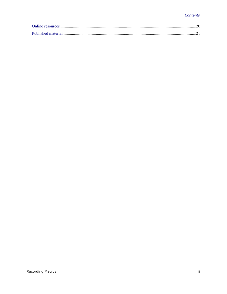#### Contents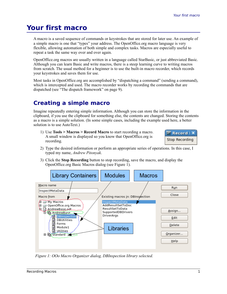# <span id="page-4-1"></span>**Your first macro**

A macro is a saved sequence of commands or keystrokes that are stored for later use. An example of a simple macro is one that "types" your address. The OpenOffice.org macro language is very flexible, allowing automation of both simple and complex tasks. Macros are especially useful to repeat a task the same way over and over again.

OpenOffice.org macros are usually written in a language called StarBasic, or just abbreviated Basic. Although you can learn Basic and write macros, there is a steep learning curve to writing macros from scratch. The usual method for a beginner is to use the built-in macro recorder, which records your keystrokes and saves them for use.

Most tasks in OpenOffice.org are accomplished by "dispatching a command" (sending a command), which is intercepted and used. The macro recorder works by recording the commands that are dispatched (see ["The dispatch framework"](#page-12-1) on page [9\)](#page-12-1).

# <span id="page-4-0"></span>**Creating a simple macro**

Imagine repeatedly entering simple information. Although you can store the information in the clipboard, if you use the clipboard for something else, the contents are changed. Storing the contents as a macro is a simple solution. (In some simple cases, including the example used here, a better solution is to use AutoText.)

1) Use **Tools > Macros > Record Macro** to start recording a macro. A small window is displayed so you know that OpenOffice.org is recording.



- 2) Type the desired information or perform an appropriate series of operations. In this case, I typed my name, *Andrew Pitonyak*.
- 3) Click the **Stop Recording** button to stop recording, save the macro, and display the OpenOffice.org Basic Macros dialog (see [Figure 1\)](#page-4-2).



<span id="page-4-2"></span>*Figure 1: OOo Macro Organizer dialog, DBInspection library selected.*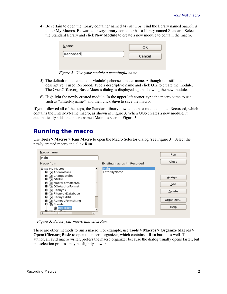4) Be certain to open the library container named *My Macros*. Find the library named *Standard* under My Macros. Be warned, *every* library container has a library named Standard. Select the Standard library and click **New Module** to create a new module to contain the macro.

| Name:    | OK     |
|----------|--------|
| Recorded | Cancel |
|          |        |

*Figure 2: Give your module a meaningful name.*

- 5) The default module name is Module1; choose a better name. Although it is still not descriptive, I used Recorded. Type a descriptive name and click **OK** to create the module. The OpenOffice.org Basic Macros dialog is displayed again, showing the new module.
- 6) Highlight the newly created module. In the upper left corner, type the macro name to use, such as "EnterMyname", and then click **Save** to save the macro.

If you followed all of the steps, the Standard library now contains a module named Recorded, which contains the EnterMyName macro, as shown in [Figure 3.](#page-5-1) When OOo creates a new module, it automatically adds the macro named Main; as seen in [Figure 3.](#page-5-1)

#### <span id="page-5-0"></span>**Running the macro**

Use **Tools > Macros > Run Macro** to open the Macro Selector dialog (see [Figure 3\)](#page-5-1). Select the newly created macro and click **Run**.

| Macro name                                                                                                                                                                                                                                                                                                             |                              | Run                                         |
|------------------------------------------------------------------------------------------------------------------------------------------------------------------------------------------------------------------------------------------------------------------------------------------------------------------------|------------------------------|---------------------------------------------|
| Main                                                                                                                                                                                                                                                                                                                   |                              |                                             |
| Macro from                                                                                                                                                                                                                                                                                                             | Existing macros in: Recorded | Close                                       |
| 日日 My Macros<br>্ক্রি AndrewBase<br>⊞<br>ි ChangeStyles<br>田<br>ි DBUtil<br>⊞<br>3 MacroFormatterADP<br>Œ<br>ි OOoAuthorFormat<br>⊞<br>ල Pitonyak<br>Ð<br>3 PitonyakDatabase<br>Ð<br>ි PitonyakUtil<br>田<br>্ত্রি RemoveFormatting<br>Ð<br>ණී Standard<br>日<br>Recorded<br>ା<br>$\overline{\phantom{a}}$<br>ங் குலு பல | Main<br>EnterMyName          | Assign<br>Edit<br>Delete<br>Organizer<br>He |
| ٠<br>$\blacktriangleleft$                                                                                                                                                                                                                                                                                              |                              |                                             |

<span id="page-5-1"></span>*Figure 3: Select your macro and click Run.*

There are other methods to run a macro. For example, use **Tools > Macros > Organize Macros > OpenOffice.org Basic** to open the macro organizer, which contains a **Run** button as well. The author, an avid macro writer, prefers the macro organizer because the dialog usually opens faster, but the selection process may be slightly slower.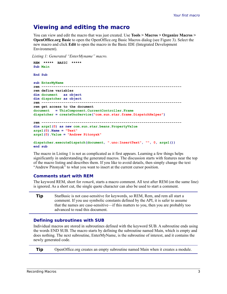#### <span id="page-6-2"></span>**Viewing and editing the macro**

You can view and edit the macro that was just created. Use **Tools > Macros > Organize Macros > OpenOffice.org Basic** to open the OpenOffice.org Basic Macros dialog (see [Figure 3\)](#page-5-1). Select the new macro and click **Edit** to open the macro in the Basic IDE (Integrated Development Environment).

<span id="page-6-3"></span>*Listing 1: Generated "EnterMyname" macro.*

```
REM ***** BASIC *****
Sub Main
End Sub
sub EnterMyName
rem ----------------------------------------------------------------------
rem define variables
dim document as object
dim dispatcher as object
rem ----------------------------------------------------------------------
rem get access to the document
document = ThisComponent.CurrentController.Frame
dispatcher = createUnoService("com.sun.star.frame.DispatchHelper")
rem ----------------------------------------------------------------------
dim args1(0) as new com.sun.star.beans.PropertyValue
args1(0).Name = "Text"
args1(0).Value = "Andrew Pitonyak"
dispatcher.executeDispatch(document, ".uno:InsertText", "", 0, args1())
end sub
```
The macro in [Listing 1](#page-6-3) is not as complicated as it first appears. Learning a few things helps significantly in understanding the generated macros. The discussion starts with features near the top of the macro listing and describes them. If you like to avoid details, then simply change the text "Andrew Pitonyak" to what you want to insert at the current cursor position.

#### <span id="page-6-1"></span>**Comments start with REM**

The keyword REM, short for *remark*, starts a macro comment. All text after REM (on the same line) is ignored. As a short cut, the single quote character can also be used to start a comment.

**Tip** StarBasic is not case-sensitive for keywords, so REM, Rem, and rem all start a comment. If you use symbolic constants defined by the API, it is safer to assume that the names are case-sensitive—if this matters to you, then you are probably too advanced to read this document.

#### <span id="page-6-0"></span>**Defining subroutines with SUB**

Individual macros are stored in subroutines defined with the keyword SUB. A subroutine ends using the words END SUB. The macro starts by defining the subroutine named Main, which is empty and does nothing. The next subroutine, EnterMyName, is the subroutine of interest, and it contains the newly generated code.

**Tip** OpenOffice.org creates an empty subroutine named Main when it creates a module.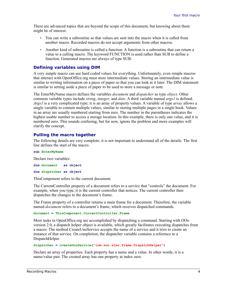There are advanced topics that are beyond the scope of this document, but knowing about them might be of interest:

- You can write a subroutine so that values are sent into the macro when it is called from another macro. Recorded macros do not accept arguments from other macros.
- Another kind of subroutine is called a function. A function is a subroutine that can return a value to a calling macro. The keyword FUNCTION is used rather than SUB to define a function. Generated macros are always of type SUB.

#### <span id="page-7-1"></span>**Defining variables using DIM**

A very simple macro can use hard coded values for everything. Unfortunately, even simple macros that interact with OpenOffice.org must store intermediate values. Storing an intermediate value is similar to writing information on a piece of paper so that you can look at it later. The DIM statement is similar to setting aside a piece of paper to be used to store a message or note.

The EnterMyName macro defines the variables *document* and *dispatcher* as type *object*. Other common variable types include *string*, *integer*, and *date*. A third variable named *args1* is defined. *Args1* is a very complicated type; it is an array of property values. A variable of type *array* allows a single variable to contain multiple values, similar to storing multiple pages in a single book. Values in an array are usually numbered starting from zero. The number in the parentheses indicates the highest usable number to access a storage location. In this example, there is only one value, and it is numbered zero. This sounds confusing, but for now, ignore the problem and more examples will clarify the concept.

#### <span id="page-7-0"></span>**Pulling the macro together**

The following details are very complete; it is not important to understand all of the details. The first line defines the start of the macro.

#### **sub EnterMyName**

Declare two variables:

**dim document as object dim dispatcher as object**

ThisComponent refers to the current document.

The CurrentController property of a document refers to a service that "controls" the document. For example, when you type, it is the current controller that notices. The current controller then dispatches the changes to the document's frame.

The Frame property of a controller returns a main frame for a document. Therefore, the variable named *document* refers to a document's frame, which receives dispatched commands.

```
document = ThisComponent.CurrentController.Frame
```
Most tasks in OpenOffice.org are accomplished by dispatching a command. Starting with OOo version 2.0, a dispatch helper object is available, which greatly facilitates executing dispatches from a macro. The method CreateUnoService accepts the name of a service and it tries to create an instance of that service. On completion, the dispatcher variable contains a reference to a DispatchHelper.

**dispatcher = createUnoService("com.sun.star.frame.DispatchHelper")**

Declare an array of properties. Each property has a name and a value. In other words, it is a name/value pair. The created array has one property at index zero.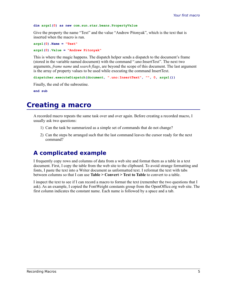```
dim args1(0) as new com.sun.star.beans.PropertyValue
```
Give the property the name "Text" and the value "Andrew Pitonyak", which is the text that is inserted when the macro is run.

**args1(0).Name = "Text"**

**args1(0).Value = "Andrew Pitonyak"**

This is where the magic happens. The dispatch helper sends a dispatch to the document's frame (stored in the variable named document) with the command ".uno:InsertText". The next two arguments, *frame name* and *search flags*, are beyond the scope of this document. The last argument is the array of property values to be used while executing the command InsertText.

```
dispatcher.executeDispatch(document, ".uno:InsertText", "", 0, args1())
```
Finally, the end of the subroutine.

**end sub**

# <span id="page-8-1"></span>**Creating a macro**

A recorded macro repeats the same task over and over again. Before creating a recorded macro, I usually ask two questions:

- 1) Can the task be summarized as a simple set of commands that do not change?
- 2) Can the steps be arranged such that the last command leaves the cursor ready for the next command?

#### <span id="page-8-0"></span>**A complicated example**

I frequently copy rows and columns of data from a web site and format them as a table in a text document. First, I copy the table from the web site to the clipboard. To avoid strange formatting and fonts, I paste the text into a Writer document as unformatted text. I reformat the text with tabs between columns so that I can use **Table > Convert > Text to Table** to convert to a table.

I inspect the text to see if I can record a macro to format the text (remember the two questions that I ask). As an example, I copied the FontWeight constants group from the OpenOffice.org web site. The first column indicates the constant name. Each name is followed by a space and a tab.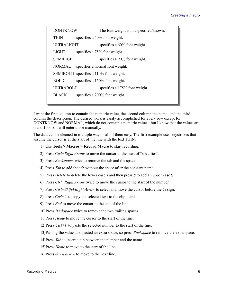DONTKNOW The font weight is not specified/known. THIN specifies a 50% font weight. ULTRALIGHT specifies a 60% font weight. LIGHT specifies a 75% font weight. SEMILIGHT specifies a 90% font weight. NORMAL specifies a normal font weight. SEMIBOLD specifies a 110% font weight. BOLD specifies a 150% font weight. ULTRABOLD specifies a 175% font weight. BLACK specifies a 200% font weight.

I want the first column to contain the numeric value, the second column the name, and the third column the description. The desired work is easily accomplished for every row except for DONTKNOW and NORMAL, which do not contain a numeric value—but I know that the values are 0 and 100, so I will enter those manually.

The data can be cleaned in multiple ways—all of them easy. The first example uses keystrokes that assume the cursor is at the start of the line with the text THIN.

- 1) Use **Tools > Macros > Record Macro** to start recording.
- 2) Press *Ctrl+Right Arrow* to move the cursor to the start of "specifies".
- 3) Press *Backspace* twice to remove the tab and the space.
- 4) Press *Tab* to add the tab without the space after the constant name.
- 5) Press *Delete* to delete the lower case s and then press *S* to add an upper case S.
- 6) Press *Ctrl+Right Arrow* twice to move the cursor to the start of the number.
- 7) Press *Ctrl+Shift+Right Arrow* to select and move the cursor before the % sign.
- 8) Press *Ctrl+C* to copy the selected text to the clipboard.
- 9) Press *End* to move the cursor to the end of the line.

10)Press *Backspace* twice to remove the two trailing spaces.

- 11)Press *Home* to move the cursor to the start of the line.
- 12)Press *Ctrl+V* to paste the selected number to the start of the line.

13)Pasting the value also pasted an extra space, so press *Backspace* to remove the extra space.

- 14)Press *Tab* to insert a tab between the number and the name.
- 15)Press *Home* to move to the start of the line.
- 16)Press *down arrow* to move to the next line.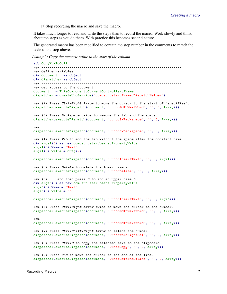17)Stop recording the macro and save the macro.

It takes much longer to read and write the steps than to record the macro. Work slowly and think about the steps as you do them. With practice this becomes second nature.

The generated macro has been modified to contain the step number in the comments to match the code to the step above.

*Listing 2: Copy the numeric value to the start of the column.*

```
sub CopyNumToCol1
rem ----------------------------------------------------------------------
rem define variables
dim document as object
dim dispatcher as object
rem ----------------------------------------------------------------------
rem get access to the document
document = ThisComponent.CurrentController.Frame
dispatcher = createUnoService("com.sun.star.frame.DispatchHelper")
rem (2) Press Ctrl+Right Arrow to move the cursor to the start of "specifies".
dispatcher.executeDispatch(document, ".uno:GoToNextWord", "", 0, Array())
rem (3) Press Backspace twice to remove the tab and the space.
dispatcher.executeDispatch(document, ".uno:SwBackspace", "", 0, Array())
rem ----------------------------------------------------------------------
dispatcher.executeDispatch(document, ".uno:SwBackspace", "", 0, Array())
rem (4) Press Tab to add the tab without the space after the constant name.
dim args4(0) as new com.sun.star.beans.PropertyValue
args4(0).Name = "Text"
args4(0).Value = CHR$(9)
dispatcher.executeDispatch(document, ".uno:InsertText", "", 0, args4())
rem (5) Press Delete to delete the lower case s ....
dispatcher.executeDispatch(document, ".uno:Delete", "", 0, Array())
rem (5) ... and then press S to add an upper case S.
dim args6(0) as new com.sun.star.beans.PropertyValue
args6(0).Name = "Text"
args6(0).Value = "S"
dispatcher.executeDispatch(document, ".uno:InsertText", "", 0, args6())
rem (6) Press Ctrl+Right Arrow twice to move the cursor to the number.
dispatcher.executeDispatch(document, ".uno:GoToNextWord", "", 0, Array())
rem ----------------------------------------------------------------------
dispatcher.executeDispatch(document, ".uno:GoToNextWord", "", 0, Array())
rem (7) Press Ctrl+Shift+Right Arrow to select the number.
dispatcher.executeDispatch(document, ".uno:WordRightSel", "", 0, Array())
rem (8) Press Ctrl+C to copy the selected text to the clipboard.
dispatcher.executeDispatch(document, ".uno:Copy", "", 0, Array())
rem (9) Press End to move the cursor to the end of the line.
dispatcher.executeDispatch(document, ".uno:GoToEndOfLine", "", 0, Array())
```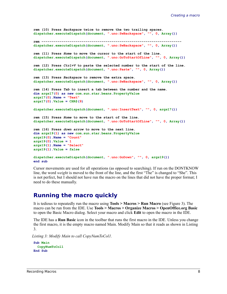```
rem (10) Press Backspace twice to remove the two trailing spaces.
dispatcher.executeDispatch(document, ".uno:SwBackspace", "", 0, Array())
rem ----------------------------------------------------------------------
dispatcher.executeDispatch(document, ".uno:SwBackspace", "", 0, Array())
rem (11) Press Home to move the cursor to the start of the line.
dispatcher.executeDispatch(document, ".uno:GoToStartOfLine", "", 0, Array())
rem (12) Press Ctrl+V to paste the selected number to the start of the line.
dispatcher.executeDispatch(document, ".uno:Paste", "", 0, Array())
rem (13) Press Backspace to remove the extra space.
dispatcher.executeDispatch(document, ".uno:SwBackspace", "", 0, Array())
rem (14) Press Tab to insert a tab between the number and the name.
dim args17(0) as new com.sun.star.beans.PropertyValue
args17(0).Name = "Text"
args17(0).Value = CHR$(9)
dispatcher.executeDispatch(document, ".uno:InsertText", "", 0, args17())
rem (15) Press Home to move to the start of the line.
dispatcher.executeDispatch(document, ".uno:GoToStartOfLine", "", 0, Array())
rem (16) Press down arrow to move to the next line.
dim args19(1) as new com.sun.star.beans.PropertyValue
args19(0).Name = "Count"
args19(0).Value = 1
args19(1).Name = "Select"
args19(1).Value = false
dispatcher.executeDispatch(document, ".uno:GoDown", "", 0, args19())
end sub
```
Cursor movements are used for all operations (as opposed to searching). If run on the DONTKNOW line, the word *weight* is moved to the front of the line, and the first "The" is changed to "She". This is not perfect, but I should not have run the macro on the lines that did not have the proper format; I need to do these manually.

#### <span id="page-11-0"></span>**Running the macro quickly**

It is tedious to repeatedly run the macro using **Tools > Macros > Run Macro** (see [Figure 3\)](#page-5-1). The macro can be run from the IDE. Use **Tools > Macros > Organize Macros > OpenOffice.org Basic** to open the Basic Macro dialog. Select your macro and click **Edit** to open the macro in the IDE.

The IDE has a **Run Basic** icon in the toolbar that runs the first macro in the IDE. Unless you change the first macro, it is the empty macro named Main. Modify Main so that it reads as shown in [Listing](#page-11-1) [3.](#page-11-1)

<span id="page-11-1"></span>*Listing 3: Modify Main to call CopyNumToCol1.*

```
Sub Main
  CopyNumToCol1
End Sub
```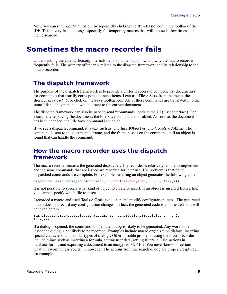Now, you can run CopyNumToCol1 by repeatedly clicking the **Run Basic** icon in the toolbar of the IDE. This is very fast and easy, especially for temporary macros that will be used a few times and then discarded.

# <span id="page-12-2"></span>**Sometimes the macro recorder fails**

Understanding the OpenOffice.org internals helps to understand how and why the macro recorder frequently fails. The primary offender is related to the dispatch framework and its relationship to the macro recorder.

#### <span id="page-12-1"></span>**The dispatch framework**

The purpose of the dispatch framework is to provide a uniform access to components (documents) for commands that usually correspond to menu items. I can use **File > Save** from the menu, the shortcut keys *Ctrl+S*, or click on the **Save** toolbar icon. All of these commands are translated into the same "dispatch command", which is sent to the current document.

The dispatch framework can also be used to send "commands" back to the UI (User Interface). For example, after saving the document, the File Save command is disabled. As soon as the document has been changed, the File Save command is enabled.

If we see a dispatch command, it is text such as .uno:InsertObject or .uno:GoToStartOfLine. The command is sent to the document's frame, and the frame passes on the command until an object is found that can handle the command.

#### <span id="page-12-0"></span>**How the macro recorder uses the dispatch framework**

The macro recorder records the generated dispatches. The recorder is relatively simple to implement and the same commands that are issued are recorded for later use. The problem is that not all dispatched commands are complete. For example, inserting an object generates the following code:

**dispatcher.executeDispatch(document, ".uno:InsertObject", "", 0, Array())**

It is not possible to specify what kind of object to create or insert. If an object is inserted from a file, you cannot specify which file to insert.

I recorded a macro and used **Tools > Options** to open and modify configuration items. The generated macro does not record any configuration changes; in fact, the generated code is commented so it will not even be run.

#### **rem dispatcher.executeDispatch(document, ".uno:OptionsTreeDialog", "", 0, Array())**

If a dialog is opened, the command to open the dialog is likely to be generated. Any work done inside the dialog is not likely to be recorded. Examples include macro organization dialogs, inserting special characters, and similar types of dialogs. Other possible problems using the macro recorder include things such as inserting a formula, setting user data, setting filters in Calc, actions in database forms, and exporting a document to an encrypted PDF file. You never know for certain what will work unless you try it, however. The actions from the search dialog are properly captured, for example.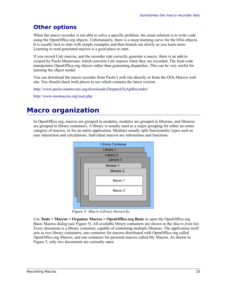#### <span id="page-13-1"></span>**Other options**

When the macro recorder is not able to solve a specific problem, the usual solution is to write code using the OpenOffice.org objects. Unfortunately, there is a steep learning curve for the OOo objects. It is usually best to start with simple examples and then branch out slowly as you learn more. Learning to read generated macros is a good place to start.

If you record Calc macros, and the recorder can correctly generate a macro, there is an add-in created by Paolo Mantovani, which converts Calc macros when they are recorded. The final code manipulates OpenOffice.org objects rather than generating dispatches. This can be very useful for learning the object model.

You can download the macro recorder from Paolo's web site directly or from the OOo Macros web site. You should check both places to see which contains the latest version.

<http://www.paolo-mantovani.org/downloads/DispatchToApiRecorder/>

<http://www.ooomacros.org/user.php>

# <span id="page-13-0"></span>**Macro organization**

In OpenOffice.org, macros are grouped in modules, modules are grouped in libraries, and libraries are grouped in library containers. A library is usually used as a major grouping for either an entire category of macros, or for an entire application. Modules usually split functionality types such as user interaction and calculations. Individual macros are subroutines and functions.



*Figure 4: Macro Library hierarchy.*

Use **Tools > Macros > Organize Macros > OpenOffice.org Basic** to open the OpenOffice.org Basic Macros dialog (see [Figure 5\)](#page-14-0). All available library containers are shown in the *Macro from* list. Every document is a library container, capable of containing multiple libraries. The application itself acts as two library containers, one container for macros distributed with OpenOffice.org called OpenOffice.org Macros, and one container for personal macros called My Macros. As shown in [Figure 5,](#page-14-0) only two documents are currently open.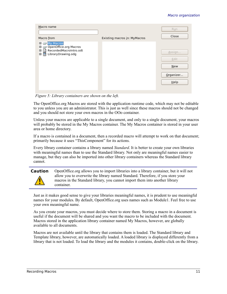| Macro name<br>Macro from                                                                                          | Existing macros in: MyMacros | <b>Run</b><br>Close   |
|-------------------------------------------------------------------------------------------------------------------|------------------------------|-----------------------|
| <b>⊞ □</b> My Macros<br>OpenOffice.org Macros<br>E<br>RecordedMacroIntro.odt<br>E<br>LibraryDrawing.odg<br>田<br>马 |                              | Assign<br>Edit<br>New |
|                                                                                                                   |                              | Organizer<br>$He$ lp  |

<span id="page-14-0"></span>*Figure 5: Library containers are shown on the left.*

The OpenOffice.org Macros are stored with the application runtime code, which may not be editable to you unless you are an administrator. This is just as well since these macros should not be changed and you should not store your own macros in the OOo container.

Unless your macros are applicable to a single document, and only to a single document, your macros will probably be stored in the My Macros container. The My Macros container is stored in your user area or home directory.

If a macro is contained in a document, then a recorded macro will attempt to work on that document; primarily because it uses "ThisComponent" for its actions.

Every library container contains a library named *Standard*. It is better to create your own libraries with meaningful names than to use the Standard library. Not only are meaningful names easier to manage, but they can also be imported into other library containers whereas the Standard library cannot.

**Caution** OpenOffice.org allows you to import libraries into a library container, but it will not allow you to overwrite the library named Standard. Therefore, if you store your macros in the Standard library, you cannot import them into another library container.

Just as it makes good sense to give your libraries meaningful names, it is prudent to use meaningful names for your modules. By default, OpenOffice.org uses names such as Module1. Feel free to use your own meaningful name.

As you create your macros, you must decide where to store them. Storing a macro in a document is useful if the document will be shared and you want the macro to be included with the document. Macros stored in the application library container named My Macros, however, are globally available to all documents.

Macros are not available until the library that contains them is loaded. The Standard library and Template library, however, are automatically loaded. A loaded library is displayed differently from a library that is not loaded. To load the library and the modules it contains, double-click on the library.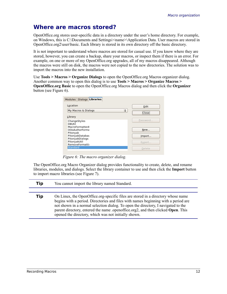#### <span id="page-15-0"></span>**Where are macros stored?**

OpenOffice.org stores user-specific data in a directory under the user's home directory. For example, on Windows, this is C:\Documents and Settings\<name>\Application Data. User macros are stored in OpenOffice.org2\user\basic. Each library is stored in its own directory off the basic directory.

It is not important to understand where macros are stored for casual use. If you know where they are stored, however, you can create a backup, share your macros, or inspect them if there is an error. For example, on one or more of my OpenOffice.org upgrades, all of my macros disappeared. Although the macros were still on disk, the macros were not copied to the new directories. The solution was to import the macros into the new installation.

Use **Tools > Macros > Organize Dialogs** to open the OpenOffice.org Macros organizer dialog. Another common way to open this dialog is to use **Tools > Macros > Organize Macros > OpenOffice.org Basic** to open the OpenOffice.org Macros dialog and then click the **Organizer** button (see [Figure 6\)](#page-15-1).

| Location                          | Edit                                |
|-----------------------------------|-------------------------------------|
| My Macros & Dialogs<br>$\div$     | ,,,,,,,,,,,,,,,,,,,<br><b>Close</b> |
| Library                           |                                     |
| ChangeStyles                      | Password                            |
| <b>DRUtil</b>                     |                                     |
| MacroFormatterA<br>OOoAuthorForma | New                                 |
| Pitonyak                          |                                     |
| PitonyakDatabas                   | Import                              |
| PitonyakDialogs<br>PitonyakUtil   |                                     |
| RemoveFormattiı                   | Export                              |
| Standard                          | Delete                              |

<span id="page-15-1"></span>*Figure 6: The macro organizer dialog.*

The OpenOffice.org Macro Organizer dialog provides functionality to create, delete, and rename libraries, modules, and dialogs. Select the library container to use and then click the **Import** button to import macro libraries (see [Figure 7\)](#page-16-1).

| On Linux, the OpenOffice.org-specific files are stored in a directory whose name<br>begins with a period. Directories and files with names beginning with a period are<br>not shown in a normal selection dialog. To open the directory, I navigated to the<br>parent directory, entered the name .openoffice.org2, and then clicked Open. This<br>opened the directory, which was not initially shown. |
|---------------------------------------------------------------------------------------------------------------------------------------------------------------------------------------------------------------------------------------------------------------------------------------------------------------------------------------------------------------------------------------------------------|
|                                                                                                                                                                                                                                                                                                                                                                                                         |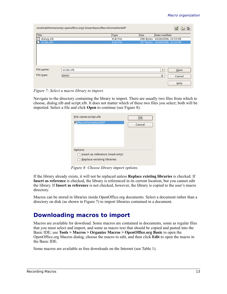|                   | /andrew0/home/andy/.openoffice.org2.0/user/basic/MacroFormatterADP |          |      | Œ<br>倫                         |
|-------------------|--------------------------------------------------------------------|----------|------|--------------------------------|
| Title $\triangle$ |                                                                    | Type     | Size | Date modified                  |
| dialog.xlb        |                                                                    | XLB-File |      | 296 Bytes 10/26/2006, 22:53:06 |
| script.xlb        |                                                                    | XLB-File |      | 357 Bytes 10/26/2006, 22:53:06 |
|                   |                                                                    |          |      |                                |
| File name:        | script.xlb                                                         |          |      | Open<br>$\blacktriangledown$   |
| File type:        | <b>BASIC</b>                                                       |          |      | ÷<br>Cancel                    |
|                   |                                                                    |          |      | Help                           |

<span id="page-16-1"></span>*Figure 7: Select a macro library to import.*

Navigate to the directory containing the library to import. There are usually two files from which to choose, dialog.xlb and script.xlb. It does not matter which of these two files you select; both will be imported. Select a file and click **Open** to continue (see [Figure 8\)](#page-16-2).

| Eile name:script.xlb            |        |
|---------------------------------|--------|
| MacroFormatterADP               | Cancel |
| Options                         |        |
| Insert as reference (read-only) |        |
| Replace existing libraries      |        |

<span id="page-16-2"></span>*Figure 8: Choose library import options.*

If the library already exists, it will not be replaced unless **Replace existing libraries** is checked. If **Insert as reference** is checked, the library is referenced in its current location, but you cannot edit the library. If **Insert as reference** is not checked, however, the library is copied to the user's macro directory.

Macros can be stored in libraries inside OpenOffice.org documents. Select a document rather than a directory on disk (as shown in [Figure 7\)](#page-16-1) to import libraries contained in a document.

#### <span id="page-16-0"></span>**Downloading macros to import**

Macros are available for download. Some macros are contained in documents, some as regular files that you must select and import, and some as macro text that should be copied and pasted into the Basic IDE; use **Tools > Macros > Organize Macros > OpenOffice.org Basic** to open the OpenOffice.org Macros dialog, choose the macro to edit, and then click **Edit** to open the macro in the Basic IDE.

Some macros are available as free downloads on the Internet (see [Table 1\)](#page-17-1).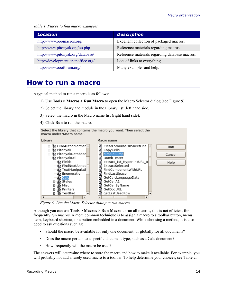<span id="page-17-1"></span>*Table 1. Places to find macro examples.*

| Location                           | Description                                    |
|------------------------------------|------------------------------------------------|
| http://www.ooomacros.org/          | Excellent collection of packaged macros.       |
| http://www.pitonyak.org/oo.php     | Reference materials regarding macros.          |
| http://www.pitonyak.org/database/  | Reference materials regarding database macros. |
| http://development.openoffice.org/ | Lots of links to everything.                   |
| http://www.oooforum.org/           | Many examples and help.                        |

# <span id="page-17-0"></span>**How to run a macro**

A typical method to run a macro is as follows:

- 1) Use **Tools > Macros > Run Macro** to open the Macro Selector dialog (see [Figure 9\)](#page-17-2).
- 2) Select the library and module in the Library list (left hand side).
- 3) Select the macro in the Macro name list (right hand side).
- 4) Click **Run** to run the macro.



<span id="page-17-2"></span>*Figure 9. Use the Macro Selector dialog to run macros.*

Although you can use **Tools > Macros > Run Macro** to run all macros, this is not efficient for frequently run macros. A more common technique is to assign a macro to a toolbar button, menu item, keyboard shortcut, or a button embedded in a document. While choosing a method, it is also good to ask questions such as:

- Should the macro be available for only one document, or globally for all documents?
- Does the macro pertain to a specific document type, such as a Calc document?
- How frequently will the macro be used?

The answers will determine where to store the macro and how to make it available. For example, you will probably not add a rarely used macro to a toolbar. To help determine your choices, see [Table 2.](#page-18-1)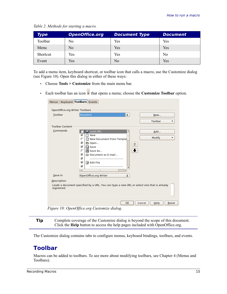| Type     | <b>OpenOffice.org</b> | <b>Document Type</b> | <b>Document</b> |
|----------|-----------------------|----------------------|-----------------|
| Toolbar  | No                    | Yes                  | Yes             |
| Menu     | No                    | Yes                  | Yes             |
| Shortcut | Yes                   | Yes                  | No              |
| Event    | Yes                   | No                   | Yes             |

<span id="page-18-1"></span>*Table 2. Methods for starting a macro.*

To add a menu item, keyboard shortcut, or toolbar icon that calls a macro, use the Customize dialog (see [Figure 10\)](#page-18-2). Open this dialog in either of these ways:

- Choose **Tools > Customize** from the main menu bar.
- Each toolbar has an icon **•** that opens a menu; choose the **Customize Toolbar** option.

| Toolbar                | Standard<br>$\div$                                                                        | New          |
|------------------------|-------------------------------------------------------------------------------------------|--------------|
|                        |                                                                                           | Toolbar<br>▼ |
| <b>Toolbar Content</b> |                                                                                           |              |
| Commands               | <b>D</b> Load URL                                                                         | Add          |
|                        | New<br>⊽                                                                                  |              |
|                        | New Document From Templat<br>г                                                            | Modify<br>▼  |
|                        | ⊽<br>← Open                                                                               |              |
|                        | ⊽<br>■ Save                                                                               |              |
|                        | Save As<br>г                                                                              |              |
|                        | ⊠ Document as E-mail<br>⊽                                                                 |              |
|                        | ⊽<br>                                                                                     |              |
|                        | <b>A</b> Edit File<br>⊽                                                                   |              |
|                        | ⊽<br>▼                                                                                    |              |
|                        | $\blacktriangleleft$<br>Ш<br>٠                                                            |              |
| Save In                | OpenOffice.org Writer<br>÷                                                                |              |
| Description            |                                                                                           |              |
| registered.            | Loads a document specified by a URL. You can type a new URL or select one that is already |              |
|                        |                                                                                           |              |

<span id="page-18-2"></span>**Tip** Complete coverage of the Customize dialog is beyond the scope of this document. Click the **Help** button to access the help pages included with OpenOffice.org.

The Customize dialog contains tabs to configure menus, keyboard bindings, toolbars, and events.

#### <span id="page-18-0"></span>**Toolbar**

Macros can be added to toolbars. To see more about modifying toolbars, see Chapter 4 (Menus and Toolbars).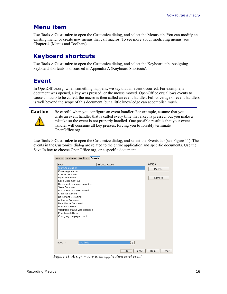#### <span id="page-19-2"></span>**Menu item**

Use **Tools > Customize** to open the Customize dialog, and select the Menus tab. You can modify an existing menu, or create new menus that call macros. To see more about modifying menus, see Chapter 4 (Menus and Toolbars).

#### <span id="page-19-1"></span>**Keyboard shortcuts**

Use **Tools > Customize** to open the Customize dialog, and select the Keyboard tab. Assigning keyboard shortcuts is discussed in Appendix A (Keyboard Shortcuts).

# <span id="page-19-0"></span>**Event**

In OpenOffice.org, when something happens, we say that an event occurred. For example, a document was opened, a key was pressed, or the mouse moved. OpenOffice.org allows events to cause a macro to be called; the macro is then called an event handler. Full coverage of event handlers is well beyond the scope of this document, but a little knowledge can accomplish much.



**Caution** Be careful when you configure an event handler. For example, assume that you write an event handler that is called every time that a key is pressed, but you make a mistake so the event is not properly handled. One possible result is that your event handler will consume all key presses, forcing you to forcibly terminate OpenOffice.org.

Use **Tools > Customize** to open the Customize dialog, and select the Events tab (see [Figure 11\)](#page-19-3). The events in the Customize dialog are related to the entire application and specific documents. Use the Save In box to choose OpenOffice.org, or a specific document.

| Event                                           |                            | Assigned Action |              | Assign:          |
|-------------------------------------------------|----------------------------|-----------------|--------------|------------------|
| <b>Start Application</b>                        |                            |                 |              | Macro            |
| Close Application                               |                            |                 |              |                  |
| Create Document                                 |                            |                 |              |                  |
| Open Document                                   | Remove                     |                 |              |                  |
| Save Document As                                |                            |                 |              |                  |
|                                                 | Document has been saved as |                 |              |                  |
| Save Document                                   |                            |                 |              |                  |
|                                                 | Document has been saved    |                 |              |                  |
| Close Document                                  |                            |                 |              |                  |
| Document is closing<br><b>Activate Document</b> |                            |                 |              |                  |
| Deactivate Document                             |                            |                 |              |                  |
| <b>Print Document</b>                           |                            |                 |              |                  |
| 'Modified' status was changed                   |                            |                 |              |                  |
| Print form letters                              |                            |                 |              |                  |
|                                                 | Changing the page count    |                 |              |                  |
|                                                 |                            |                 |              |                  |
|                                                 |                            |                 |              |                  |
|                                                 |                            |                 |              |                  |
|                                                 |                            |                 |              |                  |
|                                                 |                            |                 |              |                  |
|                                                 |                            |                 |              |                  |
|                                                 |                            |                 |              |                  |
| Save In                                         | Untitled1                  |                 | l÷.          |                  |
|                                                 |                            |                 |              |                  |
|                                                 |                            |                 | Cancel<br>OK | $He$ lp<br>Reset |
|                                                 |                            |                 |              |                  |

<span id="page-19-3"></span>*Figure 11: Assign macro to an application level event.*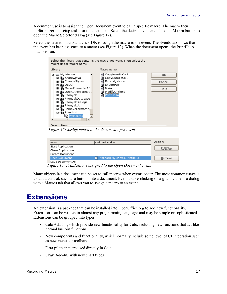A common use is to assign the Open Document event to call a specific macro. The macro then performs certain setup tasks for the document. Select the desired event and click the **Macro** button to open the Macro Selector dialog (see [Figure 12\)](#page-20-2).

Select the desired macro and click **OK** to assign the macro to the event. The Events tab shows that the event has been assigned to a macro (see [Figure 13\)](#page-20-1). When the document opens, the PrintHello macro is run.

| Select the library that contains the macro you want. Then select the<br>macro under 'Macro name'.                                                                                                                                                                                                                                         |                                                                                                                 |                      |  |  |  |  |  |
|-------------------------------------------------------------------------------------------------------------------------------------------------------------------------------------------------------------------------------------------------------------------------------------------------------------------------------------------|-----------------------------------------------------------------------------------------------------------------|----------------------|--|--|--|--|--|
| Library<br>My Macros<br>⊟<br>- 1<br>ଏକ Andrewlava<br>⊞<br>ChangeStyles<br>田<br>ঞ্জ DBUtil<br>田<br><sup>ଏ</sup> କ MacroFormatterAI<br>Œ<br><sup>ଏ</sup> କ OOoAuthorFormat<br>田<br>ঞ্জী Pitonyak<br>田<br>ණි PitonyakDatabase<br>田<br>ණු PitonyakDialogs<br>田<br>ේ PitonyakUtil<br>Œ<br>ြော RemoveFormattin<br>田<br><u>්ති</u> Standard<br>日 | Macro name<br>CopyNumToCol1<br>CopyNumToCol2<br>EnterMyName<br>ExportPDF<br>Main<br>ModifyOPtions<br>PrintHello | OK<br>Cancel<br>Help |  |  |  |  |  |
| <u>कि</u> MyMacros<br>Ш<br>٠<br>$\blacktriangleleft$<br>Description                                                                                                                                                                                                                                                                       |                                                                                                                 |                      |  |  |  |  |  |
|                                                                                                                                                                                                                                                                                                                                           |                                                                                                                 |                      |  |  |  |  |  |

<span id="page-20-2"></span>*Figure 12: Assign macro to the document open event.*

| Event             | Assigned Action              | Assign:                             |
|-------------------|------------------------------|-------------------------------------|
| Start Application |                              | ,,,,,,,,,,,,,,,,,,,,,,,,,,<br>Macro |
| Close Application |                              |                                     |
| Create Document   |                              |                                     |
| Open Document     | Standard.MyMacros.PrintHello | Remove                              |
| Save Document As  |                              |                                     |

<span id="page-20-1"></span>*Figure 13: PrintHello is assigned to the Open Document event.*

Many objects in a document can be set to call macros when events occur. The most common usage is to add a control, such as a button, into a document. Even double-clicking on a graphic opens a dialog with a Macros tab that allows you to assign a macro to an event.

# <span id="page-20-0"></span>**Extensions**

An extension is a package that can be installed into OpenOffice.org to add new functionality. Extensions can be written in almost any programming language and may be simple or sophisticated. Extensions can be grouped into types:

- Calc Add-Ins, which provide new functionality for Calc, including new functions that act like normal built-in functions
- New components and functionality, which normally include some level of UI integration such as new menus or toolbars
- Data pilots that are used directly in Calc
- Chart Add-Ins with new chart types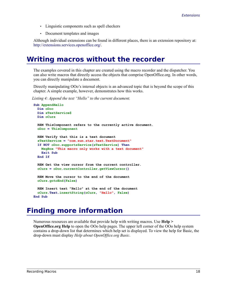- Linguistic components such as spell checkers
- Document templates and images

Although individual extensions can be found in different places, there is an extension repository at: [http://extensions.services.openoffice.org/.](http://extensions.services.openoffice.org/)

#### <span id="page-21-1"></span>**Writing macros without the recorder**

The examples covered in this chapter are created using the macro recorder and the dispatcher. You can also write macros that directly access the objects that comprise OpenOffice.org. In other words, you can directly manipulate a document.

Directly manipulating OOo's internal objects is an advanced topic that is beyond the scope of this chapter. A simple example, however, demonstrates how this works.

*Listing 4: Append the text "Hello" to the current document.*

```
Sub AppendHello
  Dim oDoc
   Dim sTextService$
   Dim oCurs
   REM ThisComponent refers to the currently active document.
   oDoc = ThisComponent
   REM Verify that this is a text document 
   sTextService = "com.sun.star.text.TextDocument"
   If NOT oDoc.supportsService(sTextService) Then
     MsgBox "This macro only works with a text document"
     Exit Sub
   End If
   REM Get the view cursor from the current controller.
   oCurs = oDoc.currentController.getViewCursor()
   REM Move the cursor to the end of the document
   oCurs.gotoEnd(False)
   REM Insert text "Hello" at the end of the document
   oCurs.Text.insertString(oCurs, "Hello", False) 
End Sub
```
#### <span id="page-21-0"></span>**Finding more information**

Numerous resources are available that provide help with writing macros. Use **Help > OpenOffice.org Help** to open the OOo help pages. The upper left corner of the OOo help system contains a drop-down list that determines which help set is displayed. To view the help for Basic, the drop-down must display *Help about OpenOffice.org Basic*.